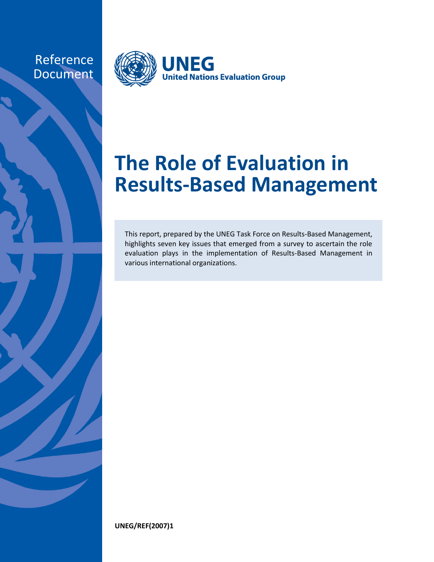Reference Document



# **The Role of Evaluation in Results-Based Management**

This report, prepared by the UNEG Task Force on Results-Based Management, highlights seven key issues that emerged from a survey to ascertain the role evaluation plays in the implementation of Results-Based Management in various international organizations.

**UNEG/REF(2007)1**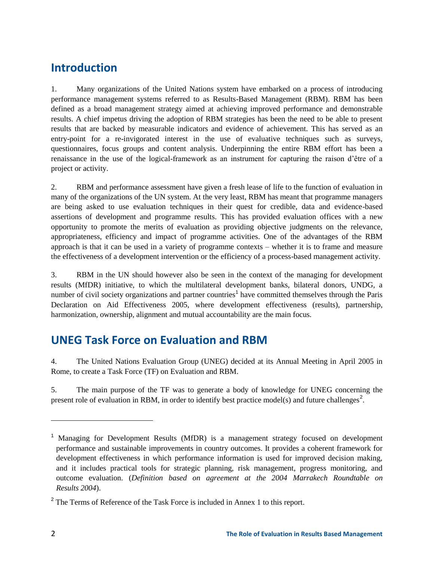# **Introduction**

1. Many organizations of the United Nations system have embarked on a process of introducing performance management systems referred to as Results-Based Management (RBM). RBM has been defined as a broad management strategy aimed at achieving improved performance and demonstrable results. A chief impetus driving the adoption of RBM strategies has been the need to be able to present results that are backed by measurable indicators and evidence of achievement. This has served as an entry-point for a re-invigorated interest in the use of evaluative techniques such as surveys, questionnaires, focus groups and content analysis. Underpinning the entire RBM effort has been a renaissance in the use of the logical-framework as an instrument for capturing the raison d'être of a project or activity.

2. RBM and performance assessment have given a fresh lease of life to the function of evaluation in many of the organizations of the UN system. At the very least, RBM has meant that programme managers are being asked to use evaluation techniques in their quest for credible, data and evidence-based assertions of development and programme results. This has provided evaluation offices with a new opportunity to promote the merits of evaluation as providing objective judgments on the relevance, appropriateness, efficiency and impact of programme activities. One of the advantages of the RBM approach is that it can be used in a variety of programme contexts – whether it is to frame and measure the effectiveness of a development intervention or the efficiency of a process-based management activity.

3. RBM in the UN should however also be seen in the context of the managing for development results (MfDR) initiative, to which the multilateral development banks, bilateral donors, UNDG, a number of civil society organizations and partner countries<sup>1</sup> have committed themselves through the Paris Declaration on Aid Effectiveness 2005, where development effectiveness (results), partnership, harmonization, ownership, alignment and mutual accountability are the main focus.

# **UNEG Task Force on Evaluation and RBM**

4. The United Nations Evaluation Group (UNEG) decided at its Annual Meeting in April 2005 in Rome, to create a Task Force (TF) on Evaluation and RBM.

5. The main purpose of the TF was to generate a body of knowledge for UNEG concerning the present role of evaluation in RBM, in order to identify best practice model(s) and future challenges<sup>2</sup>.

<sup>&</sup>lt;sup>1</sup> Managing for Development Results (MfDR) is a management strategy focused on development performance and sustainable improvements in country outcomes. It provides a coherent framework for development effectiveness in which performance information is used for improved decision making, and it includes practical tools for strategic planning, risk management, progress monitoring, and outcome evaluation. (*Definition based on agreement at the 2004 Marrakech Roundtable on Results 2004*).

<sup>&</sup>lt;sup>2</sup> The Terms of Reference of the Task Force is included in Annex 1 to this report.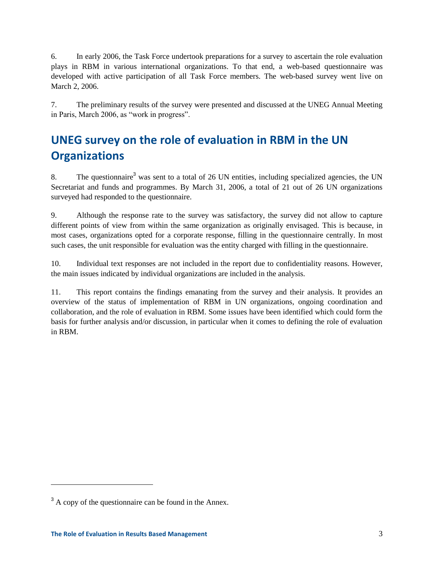6. In early 2006, the Task Force undertook preparations for a survey to ascertain the role evaluation plays in RBM in various international organizations. To that end, a web-based questionnaire was developed with active participation of all Task Force members. The web-based survey went live on March 2, 2006.

7. The preliminary results of the survey were presented and discussed at the UNEG Annual Meeting in Paris, March 2006, as "work in progress".

# **UNEG survey on the role of evaluation in RBM in the UN Organizations**

8. The questionnaire<sup>3</sup> was sent to a total of 26 UN entities, including specialized agencies, the UN Secretariat and funds and programmes. By March 31, 2006, a total of 21 out of 26 UN organizations surveyed had responded to the questionnaire.

9. Although the response rate to the survey was satisfactory, the survey did not allow to capture different points of view from within the same organization as originally envisaged. This is because, in most cases, organizations opted for a corporate response, filling in the questionnaire centrally. In most such cases, the unit responsible for evaluation was the entity charged with filling in the questionnaire.

10. Individual text responses are not included in the report due to confidentiality reasons. However, the main issues indicated by individual organizations are included in the analysis.

11. This report contains the findings emanating from the survey and their analysis. It provides an overview of the status of implementation of RBM in UN organizations, ongoing coordination and collaboration, and the role of evaluation in RBM. Some issues have been identified which could form the basis for further analysis and/or discussion, in particular when it comes to defining the role of evaluation in RBM.

 $3$  A copy of the questionnaire can be found in the Annex.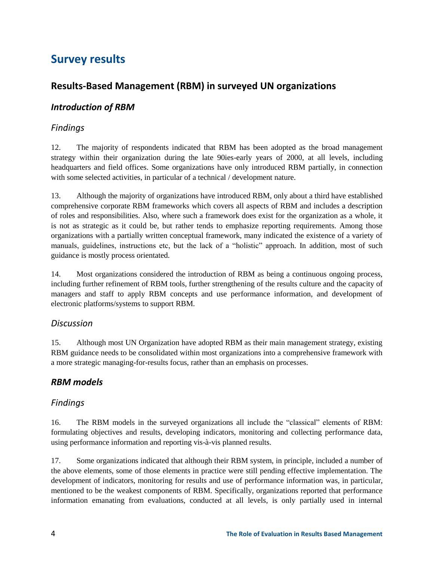# **Survey results**

# **Results-Based Management (RBM) in surveyed UN organizations**

### *Introduction of RBM*

# *Findings*

12. The majority of respondents indicated that RBM has been adopted as the broad management strategy within their organization during the late 90ies-early years of 2000, at all levels, including headquarters and field offices. Some organizations have only introduced RBM partially, in connection with some selected activities, in particular of a technical / development nature.

13. Although the majority of organizations have introduced RBM, only about a third have established comprehensive corporate RBM frameworks which covers all aspects of RBM and includes a description of roles and responsibilities. Also, where such a framework does exist for the organization as a whole, it is not as strategic as it could be, but rather tends to emphasize reporting requirements. Among those organizations with a partially written conceptual framework, many indicated the existence of a variety of manuals, guidelines, instructions etc, but the lack of a "holistic" approach. In addition, most of such guidance is mostly process orientated.

14. Most organizations considered the introduction of RBM as being a continuous ongoing process, including further refinement of RBM tools, further strengthening of the results culture and the capacity of managers and staff to apply RBM concepts and use performance information, and development of electronic platforms/systems to support RBM.

#### *Discussion*

15. Although most UN Organization have adopted RBM as their main management strategy, existing RBM guidance needs to be consolidated within most organizations into a comprehensive framework with a more strategic managing-for-results focus, rather than an emphasis on processes.

# *RBM models*

# *Findings*

16. The RBM models in the surveyed organizations all include the "classical" elements of RBM: formulating objectives and results, developing indicators, monitoring and collecting performance data, using performance information and reporting vis-à-vis planned results.

17. Some organizations indicated that although their RBM system, in principle, included a number of the above elements, some of those elements in practice were still pending effective implementation. The development of indicators, monitoring for results and use of performance information was, in particular, mentioned to be the weakest components of RBM. Specifically, organizations reported that performance information emanating from evaluations, conducted at all levels, is only partially used in internal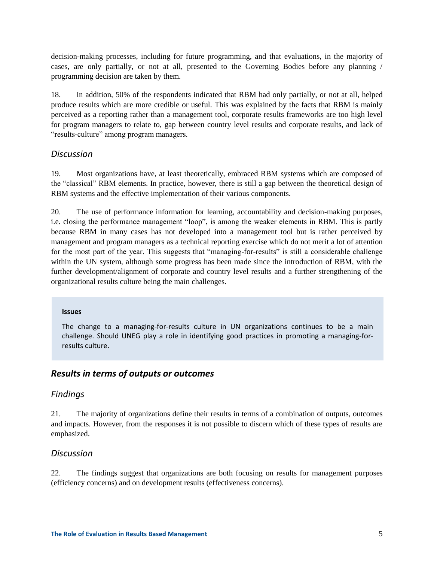decision-making processes, including for future programming, and that evaluations, in the majority of cases, are only partially, or not at all, presented to the Governing Bodies before any planning / programming decision are taken by them.

18. In addition, 50% of the respondents indicated that RBM had only partially, or not at all, helped produce results which are more credible or useful. This was explained by the facts that RBM is mainly perceived as a reporting rather than a management tool, corporate results frameworks are too high level for program managers to relate to, gap between country level results and corporate results, and lack of "results-culture" among program managers.

#### *Discussion*

19. Most organizations have, at least theoretically, embraced RBM systems which are composed of the "classical" RBM elements. In practice, however, there is still a gap between the theoretical design of RBM systems and the effective implementation of their various components.

20. The use of performance information for learning, accountability and decision-making purposes, i.e. closing the performance management "loop", is among the weaker elements in RBM. This is partly because RBM in many cases has not developed into a management tool but is rather perceived by management and program managers as a technical reporting exercise which do not merit a lot of attention for the most part of the year. This suggests that "managing-for-results" is still a considerable challenge within the UN system, although some progress has been made since the introduction of RBM, with the further development/alignment of corporate and country level results and a further strengthening of the organizational results culture being the main challenges.

#### **Issues**

The change to a managing-for-results culture in UN organizations continues to be a main challenge. Should UNEG play a role in identifying good practices in promoting a managing-forresults culture.

#### *Results in terms of outputs or outcomes*

#### *Findings*

21. The majority of organizations define their results in terms of a combination of outputs, outcomes and impacts. However, from the responses it is not possible to discern which of these types of results are emphasized.

#### *Discussion*

22. The findings suggest that organizations are both focusing on results for management purposes (efficiency concerns) and on development results (effectiveness concerns).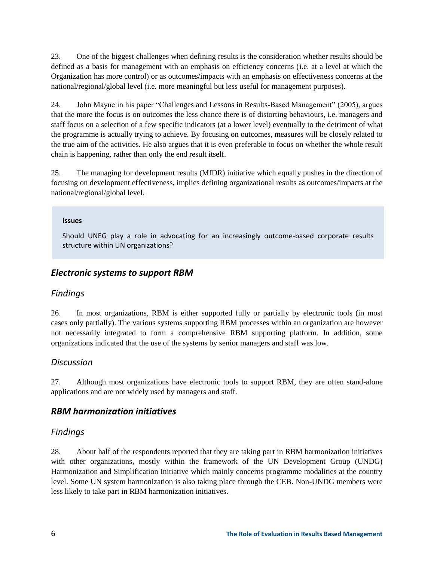23. One of the biggest challenges when defining results is the consideration whether results should be defined as a basis for management with an emphasis on efficiency concerns (i.e. at a level at which the Organization has more control) or as outcomes/impacts with an emphasis on effectiveness concerns at the national/regional/global level (i.e. more meaningful but less useful for management purposes).

24. John Mayne in his paper "Challenges and Lessons in Results-Based Management" (2005), argues that the more the focus is on outcomes the less chance there is of distorting behaviours, i.e. managers and staff focus on a selection of a few specific indicators (at a lower level) eventually to the detriment of what the programme is actually trying to achieve. By focusing on outcomes, measures will be closely related to the true aim of the activities. He also argues that it is even preferable to focus on whether the whole result chain is happening, rather than only the end result itself.

25. The managing for development results (MfDR) initiative which equally pushes in the direction of focusing on development effectiveness, implies defining organizational results as outcomes/impacts at the national/regional/global level.

#### **Issues**

Should UNEG play a role in advocating for an increasingly outcome-based corporate results structure within UN organizations?

# *Electronic systems to support RBM*

#### *Findings*

26. In most organizations, RBM is either supported fully or partially by electronic tools (in most cases only partially). The various systems supporting RBM processes within an organization are however not necessarily integrated to form a comprehensive RBM supporting platform. In addition, some organizations indicated that the use of the systems by senior managers and staff was low.

#### *Discussion*

27. Although most organizations have electronic tools to support RBM, they are often stand-alone applications and are not widely used by managers and staff.

#### *RBM harmonization initiatives*

#### *Findings*

28. About half of the respondents reported that they are taking part in RBM harmonization initiatives with other organizations, mostly within the framework of the UN Development Group (UNDG) Harmonization and Simplification Initiative which mainly concerns programme modalities at the country level. Some UN system harmonization is also taking place through the CEB. Non-UNDG members were less likely to take part in RBM harmonization initiatives.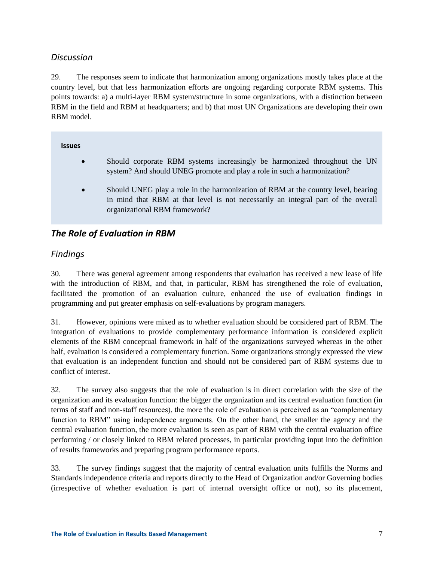### *Discussion*

29. The responses seem to indicate that harmonization among organizations mostly takes place at the country level, but that less harmonization efforts are ongoing regarding corporate RBM systems. This points towards: a) a multi-layer RBM system/structure in some organizations, with a distinction between RBM in the field and RBM at headquarters; and b) that most UN Organizations are developing their own RBM model.

#### **Issues**

- Should corporate RBM systems increasingly be harmonized throughout the UN system? And should UNEG promote and play a role in such a harmonization?
- Should UNEG play a role in the harmonization of RBM at the country level, bearing in mind that RBM at that level is not necessarily an integral part of the overall organizational RBM framework?

# *The Role of Evaluation in RBM*

### *Findings*

30. There was general agreement among respondents that evaluation has received a new lease of life with the introduction of RBM, and that, in particular, RBM has strengthened the role of evaluation, facilitated the promotion of an evaluation culture, enhanced the use of evaluation findings in programming and put greater emphasis on self-evaluations by program managers.

31. However, opinions were mixed as to whether evaluation should be considered part of RBM. The integration of evaluations to provide complementary performance information is considered explicit elements of the RBM conceptual framework in half of the organizations surveyed whereas in the other half, evaluation is considered a complementary function. Some organizations strongly expressed the view that evaluation is an independent function and should not be considered part of RBM systems due to conflict of interest.

32. The survey also suggests that the role of evaluation is in direct correlation with the size of the organization and its evaluation function: the bigger the organization and its central evaluation function (in terms of staff and non-staff resources), the more the role of evaluation is perceived as an "complementary function to RBM" using independence arguments. On the other hand, the smaller the agency and the central evaluation function, the more evaluation is seen as part of RBM with the central evaluation office performing / or closely linked to RBM related processes, in particular providing input into the definition of results frameworks and preparing program performance reports.

33. The survey findings suggest that the majority of central evaluation units fulfills the Norms and Standards independence criteria and reports directly to the Head of Organization and/or Governing bodies (irrespective of whether evaluation is part of internal oversight office or not), so its placement,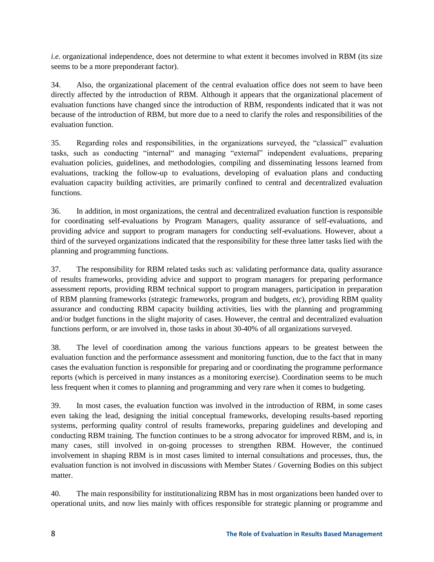*i.e.* organizational independence, does not determine to what extent it becomes involved in RBM (its size seems to be a more preponderant factor).

34. Also, the organizational placement of the central evaluation office does not seem to have been directly affected by the introduction of RBM. Although it appears that the organizational placement of evaluation functions have changed since the introduction of RBM, respondents indicated that it was not because of the introduction of RBM, but more due to a need to clarify the roles and responsibilities of the evaluation function.

35. Regarding roles and responsibilities, in the organizations surveyed, the "classical" evaluation tasks, such as conducting "internal" and managing "external" independent evaluations, preparing evaluation policies, guidelines, and methodologies, compiling and disseminating lessons learned from evaluations, tracking the follow-up to evaluations, developing of evaluation plans and conducting evaluation capacity building activities, are primarily confined to central and decentralized evaluation functions.

36. In addition, in most organizations, the central and decentralized evaluation function is responsible for coordinating self-evaluations by Program Managers, quality assurance of self-evaluations, and providing advice and support to program managers for conducting self-evaluations. However, about a third of the surveyed organizations indicated that the responsibility for these three latter tasks lied with the planning and programming functions.

37. The responsibility for RBM related tasks such as: validating performance data, quality assurance of results frameworks, providing advice and support to program managers for preparing performance assessment reports, providing RBM technical support to program managers, participation in preparation of RBM planning frameworks (strategic frameworks, program and budgets, *etc*), providing RBM quality assurance and conducting RBM capacity building activities, lies with the planning and programming and/or budget functions in the slight majority of cases. However, the central and decentralized evaluation functions perform, or are involved in, those tasks in about 30-40% of all organizations surveyed.

38. The level of coordination among the various functions appears to be greatest between the evaluation function and the performance assessment and monitoring function, due to the fact that in many cases the evaluation function is responsible for preparing and or coordinating the programme performance reports (which is perceived in many instances as a monitoring exercise). Coordination seems to be much less frequent when it comes to planning and programming and very rare when it comes to budgeting.

39. In most cases, the evaluation function was involved in the introduction of RBM, in some cases even taking the lead, designing the initial conceptual frameworks, developing results-based reporting systems, performing quality control of results frameworks, preparing guidelines and developing and conducting RBM training. The function continues to be a strong advocator for improved RBM, and is, in many cases, still involved in on-going processes to strengthen RBM. However, the continued involvement in shaping RBM is in most cases limited to internal consultations and processes, thus, the evaluation function is not involved in discussions with Member States / Governing Bodies on this subject matter.

40. The main responsibility for institutionalizing RBM has in most organizations been handed over to operational units, and now lies mainly with offices responsible for strategic planning or programme and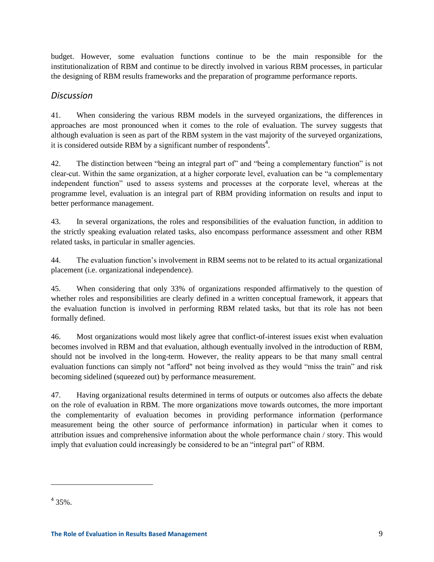budget. However, some evaluation functions continue to be the main responsible for the institutionalization of RBM and continue to be directly involved in various RBM processes, in particular the designing of RBM results frameworks and the preparation of programme performance reports.

#### *Discussion*

41. When considering the various RBM models in the surveyed organizations, the differences in approaches are most pronounced when it comes to the role of evaluation. The survey suggests that although evaluation is seen as part of the RBM system in the vast majority of the surveyed organizations, it is considered outside RBM by a significant number of respondents<sup>4</sup>.

42. The distinction between "being an integral part of" and "being a complementary function" is not clear-cut. Within the same organization, at a higher corporate level, evaluation can be "a complementary independent function" used to assess systems and processes at the corporate level, whereas at the programme level, evaluation is an integral part of RBM providing information on results and input to better performance management.

43. In several organizations, the roles and responsibilities of the evaluation function, in addition to the strictly speaking evaluation related tasks, also encompass performance assessment and other RBM related tasks, in particular in smaller agencies.

44. The evaluation function's involvement in RBM seems not to be related to its actual organizational placement (i.e. organizational independence).

45. When considering that only 33% of organizations responded affirmatively to the question of whether roles and responsibilities are clearly defined in a written conceptual framework, it appears that the evaluation function is involved in performing RBM related tasks, but that its role has not been formally defined.

46. Most organizations would most likely agree that conflict-of-interest issues exist when evaluation becomes involved in RBM and that evaluation, although eventually involved in the introduction of RBM, should not be involved in the long-term. However, the reality appears to be that many small central evaluation functions can simply not "afford" not being involved as they would "miss the train" and risk becoming sidelined (squeezed out) by performance measurement.

47. Having organizational results determined in terms of outputs or outcomes also affects the debate on the role of evaluation in RBM. The more organizations move towards outcomes, the more important the complementarity of evaluation becomes in providing performance information (performance measurement being the other source of performance information) in particular when it comes to attribution issues and comprehensive information about the whole performance chain / story. This would imply that evaluation could increasingly be considered to be an "integral part" of RBM.

 $435%$ .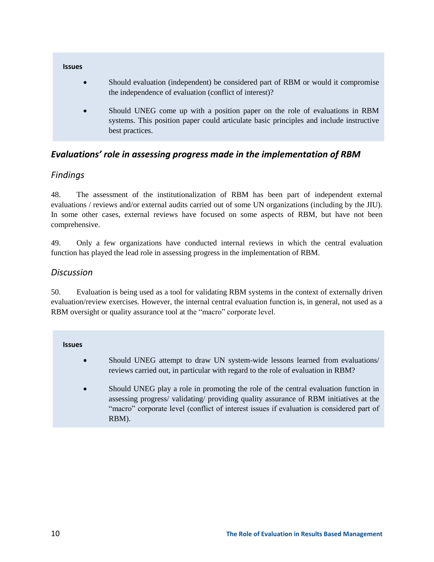

# *Evaluations' role in assessing progress made in the implementation of RBM*

# *Findings*

48. The assessment of the institutionalization of RBM has been part of independent external evaluations / reviews and/or external audits carried out of some UN organizations (including by the JIU). In some other cases, external reviews have focused on some aspects of RBM, but have not been comprehensive.

49. Only a few organizations have conducted internal reviews in which the central evaluation function has played the lead role in assessing progress in the implementation of RBM.

#### *Discussion*

50. Evaluation is being used as a tool for validating RBM systems in the context of externally driven evaluation/review exercises. However, the internal central evaluation function is, in general, not used as a RBM oversight or quality assurance tool at the "macro" corporate level.

**Issues**

- Should UNEG attempt to draw UN system-wide lessons learned from evaluations/ reviews carried out, in particular with regard to the role of evaluation in RBM?
- Should UNEG play a role in promoting the role of the central evaluation function in assessing progress/ validating/ providing quality assurance of RBM initiatives at the "macro" corporate level (conflict of interest issues if evaluation is considered part of RBM).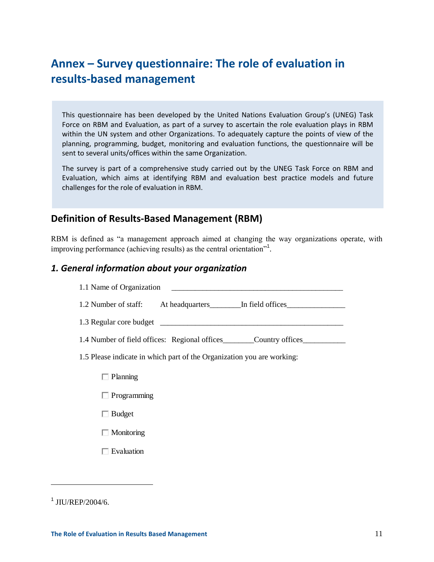# **Annex – Survey questionnaire: The role of evaluation in results-based management**

This questionnaire has been developed by the United Nations Evaluation Group's (UNEG) Task Force on RBM and Evaluation, as part of a survey to ascertain the role evaluation plays in RBM within the UN system and other Organizations. To adequately capture the points of view of the planning, programming, budget, monitoring and evaluation functions, the questionnaire will be sent to several units/offices within the same Organization.

The survey is part of a comprehensive study carried out by the UNEG Task Force on RBM and Evaluation, which aims at identifying RBM and evaluation best practice models and future challenges for the role of evaluation in RBM.

# **Definition of Results-Based Management (RBM)**

RBM is defined as "a management approach aimed at changing the way organizations operate, with improving performance (achieving results) as the central orientation"<sup>1</sup> .

#### *1. General information about your organization*

| 1.1 Name of Organization                                                         |
|----------------------------------------------------------------------------------|
| 1.2 Number of staff: At headquarters ________ In field offices                   |
|                                                                                  |
| 1.4 Number of field offices: Regional offices __________________________________ |
| 1.5 Please indicate in which part of the Organization you are working:           |
| $\Box$ Planning                                                                  |
| $\Box$ Programming                                                               |
| $\Box$ Budget                                                                    |
| $\Box$ Monitoring                                                                |
| $\Box$ Evaluation                                                                |
|                                                                                  |

#### 1 JIU/REP/2004/6.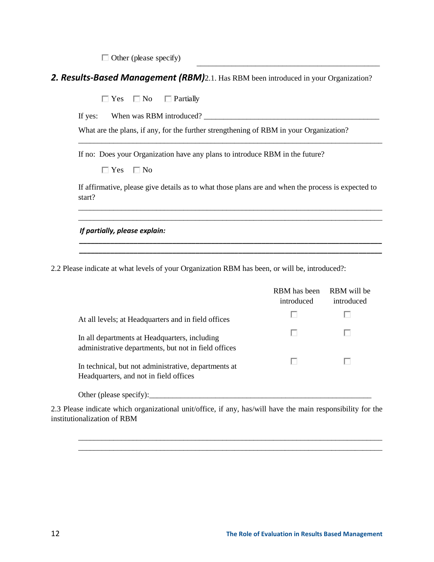### *2. Results-Based Management (RBM)*2.1. Has RBM been introduced in your Organization?

| 2. Results-Based Management (RBM)2.1. Has RBM been introduced in your Organization?                                                        |                            |                           |
|--------------------------------------------------------------------------------------------------------------------------------------------|----------------------------|---------------------------|
| $\Box$ No<br>$\Box$ Partially<br>$\Box$ Yes                                                                                                |                            |                           |
| If yes:                                                                                                                                    |                            |                           |
| What are the plans, if any, for the further strengthening of RBM in your Organization?                                                     |                            |                           |
| If no: Does your Organization have any plans to introduce RBM in the future?                                                               |                            |                           |
| $\Box$ No<br>$\Box$ Yes                                                                                                                    |                            |                           |
| If affirmative, please give details as to what those plans are and when the process is expected to<br>start?                               |                            |                           |
| If partially, please explain:                                                                                                              |                            |                           |
|                                                                                                                                            |                            |                           |
| 2.2 Please indicate at what levels of your Organization RBM has been, or will be, introduced?:                                             |                            |                           |
|                                                                                                                                            |                            |                           |
|                                                                                                                                            | RBM has been<br>introduced | RBM will be<br>introduced |
| At all levels; at Headquarters and in field offices                                                                                        | п                          |                           |
| In all departments at Headquarters, including<br>administrative departments, but not in field offices                                      | П                          | п                         |
| In technical, but not administrative, departments at<br>Headquarters, and not in field offices                                             | п                          |                           |
|                                                                                                                                            |                            |                           |
| 2.3 Please indicate which organizational unit/office, if any, has/will have the main responsibility for the<br>institutionalization of RBM |                            |                           |
|                                                                                                                                            |                            |                           |
|                                                                                                                                            |                            |                           |
|                                                                                                                                            |                            |                           |
|                                                                                                                                            |                            |                           |
|                                                                                                                                            |                            |                           |

|                                                                                                       | KDIVI HAS UCCII<br>introduced | NDM WIII UC<br>introduced |
|-------------------------------------------------------------------------------------------------------|-------------------------------|---------------------------|
| At all levels; at Headquarters and in field offices                                                   |                               |                           |
| In all departments at Headquarters, including<br>administrative departments, but not in field offices |                               |                           |
| In technical, but not administrative, departments at<br>Headquarters, and not in field offices        |                               |                           |
| Other (please specify):                                                                               |                               |                           |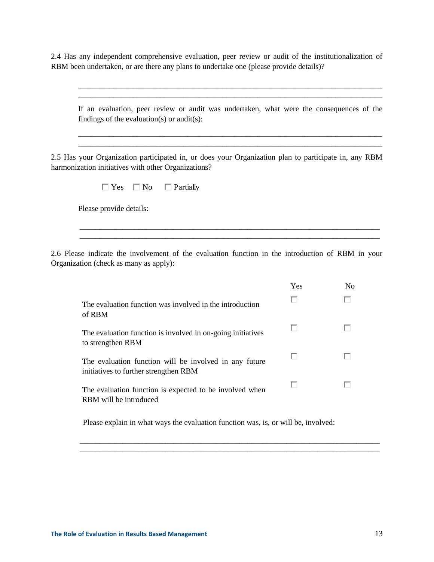2.4 Has any independent comprehensive evaluation, peer review or audit of the institutionalization of RBM been undertaken, or are there any plans to undertake one (please provide details)?

If an evaluation, peer review or audit was undertaken, what were the consequences of the findings of the evaluation(s) or audit(s):

\_\_\_\_\_\_\_\_\_\_\_\_\_\_\_\_\_\_\_\_\_\_\_\_\_\_\_\_\_\_\_\_\_\_\_\_\_\_\_\_\_\_\_\_\_\_\_\_\_\_\_\_\_\_\_\_\_\_\_\_\_\_\_\_\_\_\_\_\_\_\_\_\_\_\_\_\_\_ \_\_\_\_\_\_\_\_\_\_\_\_\_\_\_\_\_\_\_\_\_\_\_\_\_\_\_\_\_\_\_\_\_\_\_\_\_\_\_\_\_\_\_\_\_\_\_\_\_\_\_\_\_\_\_\_\_\_\_\_\_\_\_\_\_\_\_\_\_\_\_\_\_\_\_\_\_\_

\_\_\_\_\_\_\_\_\_\_\_\_\_\_\_\_\_\_\_\_\_\_\_\_\_\_\_\_\_\_\_\_\_\_\_\_\_\_\_\_\_\_\_\_\_\_\_\_\_\_\_\_\_\_\_\_\_\_\_\_\_\_\_\_\_\_\_\_\_\_\_\_\_\_\_\_\_\_ \_\_\_\_\_\_\_\_\_\_\_\_\_\_\_\_\_\_\_\_\_\_\_\_\_\_\_\_\_\_\_\_\_\_\_\_\_\_\_\_\_\_\_\_\_\_\_\_\_\_\_\_\_\_\_\_\_\_\_\_\_\_\_\_\_\_\_\_\_\_\_\_\_\_\_\_\_\_

2.5 Has your Organization participated in, or does your Organization plan to participate in, any RBM harmonization initiatives with other Organizations?

| Yes.<br>No | Partially |
|------------|-----------|
|------------|-----------|

Please provide details:

2.6 Please indicate the involvement of the evaluation function in the introduction of RBM in your Organization (check as many as apply):

\_\_\_\_\_\_\_\_\_\_\_\_\_\_\_\_\_\_\_\_\_\_\_\_\_\_\_\_\_\_\_\_\_\_\_\_\_\_\_\_\_\_\_\_\_\_\_\_\_\_\_\_\_\_\_\_\_\_\_\_\_\_\_\_\_\_\_\_\_\_\_\_\_\_\_\_\_

| Yes | No |
|-----|----|
|     |    |
|     |    |
|     |    |
|     |    |
|     |    |

Please explain in what ways the evaluation function was, is, or will be, involved:

\_\_\_\_\_\_\_\_\_\_\_\_\_\_\_\_\_\_\_\_\_\_\_\_\_\_\_\_\_\_\_\_\_\_\_\_\_\_\_\_\_\_\_\_\_\_\_\_\_\_\_\_\_\_\_\_\_\_\_\_\_\_\_\_\_\_\_\_\_\_\_\_\_\_\_\_\_ \_\_\_\_\_\_\_\_\_\_\_\_\_\_\_\_\_\_\_\_\_\_\_\_\_\_\_\_\_\_\_\_\_\_\_\_\_\_\_\_\_\_\_\_\_\_\_\_\_\_\_\_\_\_\_\_\_\_\_\_\_\_\_\_\_\_\_\_\_\_\_\_\_\_\_\_\_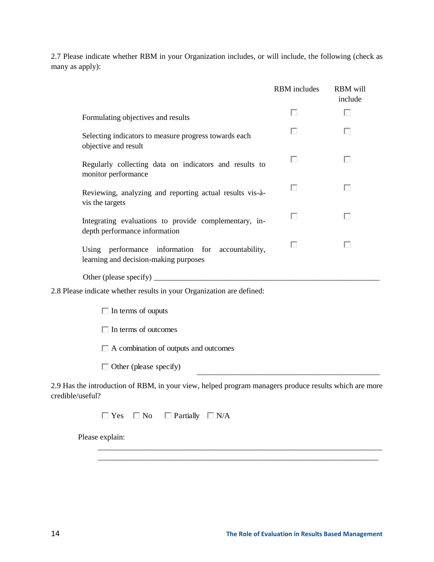2.7 Please indicate whether RBM in your Organization includes, or will include, the following (check as many as apply):

|                                                                                            | <b>RBM</b> includes | <b>RBM</b> will<br>include |
|--------------------------------------------------------------------------------------------|---------------------|----------------------------|
| Formulating objectives and results                                                         | П                   | п                          |
| Selecting indicators to measure progress towards each<br>objective and result              | П                   | п                          |
| Regularly collecting data on indicators and results to<br>monitor performance              | п                   | П                          |
| Reviewing, analyzing and reporting actual results vis-à-<br>vis the targets                | п                   | п                          |
| Integrating evaluations to provide complementary, in-<br>depth performance information     | п                   | П                          |
| Using performance information for accountability,<br>learning and decision-making purposes | П                   | г                          |
|                                                                                            |                     |                            |
| 2.8 Please indicate whether results in your Organization are defined:                      |                     |                            |
| $\Box$ In terms of ouputs                                                                  |                     |                            |
| $\Box$ In terms of outcomes                                                                |                     |                            |
| $\Box$ A combination of outputs and outcomes                                               |                     |                            |
| $\Box$ Other (please specify)                                                              |                     |                            |

2.9 Has the introduction of RBM, in your view, helped program managers produce results which are more credible/useful?

> \_\_\_\_\_\_\_\_\_\_\_\_\_\_\_\_\_\_\_\_\_\_\_\_\_\_\_\_\_\_\_\_\_\_\_\_\_\_\_\_\_\_\_\_\_\_\_\_\_\_\_\_\_\_\_\_\_\_\_\_\_\_\_\_\_\_\_\_\_\_\_\_\_ \_\_\_\_\_\_\_\_\_\_\_\_\_\_\_\_\_\_\_\_\_\_\_\_\_\_\_\_\_\_\_\_\_\_\_\_\_\_\_\_\_\_\_\_\_\_\_\_\_\_\_\_\_\_\_\_\_\_\_\_\_\_\_\_\_\_\_\_\_\_\_\_

 $\Box$  Yes  $\Box$  No  $\Box$  Partially  $\Box$  N/A

Please explain:

\_\_\_\_\_\_\_\_\_\_\_\_\_\_\_\_\_\_\_\_\_\_\_\_\_\_\_\_\_\_\_\_\_\_\_\_\_\_\_\_\_\_\_\_\_\_\_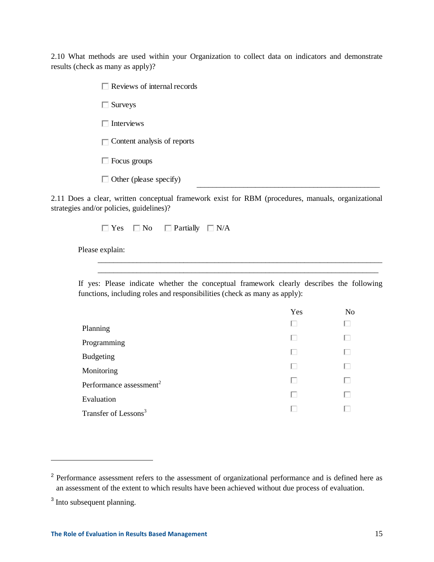2.10 What methods are used within your Organization to collect data on indicators and demonstrate results (check as many as apply)?

Reviews of internal records

□ Surveys

 $\Box$  Interviews

 $\Box$  Content analysis of reports

Focus groups

 $\Box$  Other (please specify)

2.11 Does a clear, written conceptual framework exist for RBM (procedures, manuals, organizational strategies and/or policies, guidelines)?

\_\_\_\_\_\_\_\_\_\_\_\_\_\_\_\_\_\_\_\_\_\_\_\_\_\_\_\_\_\_\_\_\_\_\_\_\_\_\_\_\_\_\_\_\_\_\_

 $\Box$  Yes  $\Box$  No  $\Box$  Partially  $\Box$  N/A

Please explain:

If yes: Please indicate whether the conceptual framework clearly describes the following functions, including roles and responsibilities (check as many as apply):

\_\_\_\_\_\_\_\_\_\_\_\_\_\_\_\_\_\_\_\_\_\_\_\_\_\_\_\_\_\_\_\_\_\_\_\_\_\_\_\_\_\_\_\_\_\_\_\_\_\_\_\_\_\_\_\_\_\_\_\_\_\_\_\_\_\_\_\_\_\_\_\_\_ \_\_\_\_\_\_\_\_\_\_\_\_\_\_\_\_\_\_\_\_\_\_\_\_\_\_\_\_\_\_\_\_\_\_\_\_\_\_\_\_\_\_\_\_\_\_\_\_\_\_\_\_\_\_\_\_\_\_\_\_\_\_\_\_\_\_\_\_\_\_\_\_

|                                     | Yes | N <sub>o</sub> |
|-------------------------------------|-----|----------------|
| Planning                            | ш   | ш              |
| Programming                         |     | U              |
| <b>Budgeting</b>                    |     | L.             |
| Monitoring                          |     | Г              |
| Performance assessment <sup>2</sup> | U   | U              |
| Evaluation                          | L.  | ш              |
| Transfer of Lessons <sup>3</sup>    |     |                |

<sup>&</sup>lt;sup>2</sup> Performance assessment refers to the assessment of organizational performance and is defined here as an assessment of the extent to which results have been achieved without due process of evaluation.

<sup>&</sup>lt;sup>3</sup> Into subsequent planning.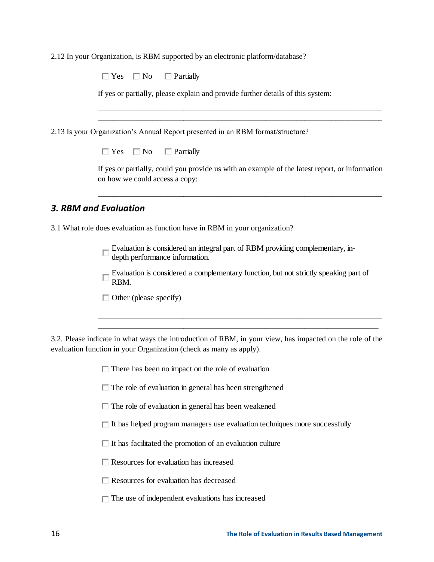2.12 In your Organization, is RBM supported by an electronic platform/database?

| $\Box$ Partially<br>$\Box$ Yes $\Box$ No                                                                                         |
|----------------------------------------------------------------------------------------------------------------------------------|
| If yes or partially, please explain and provide further details of this system:                                                  |
| 2.13 Is your Organization's Annual Report presented in an RBM format/structure?                                                  |
| $\Box$ Yes $\Box$ No<br>$\Box$ Partially                                                                                         |
| If yes or partially, could you provide us with an example of the latest report, or information<br>on how we could access a copy: |
| 3. RBM and Evaluation                                                                                                            |
| 3.1 What role does evaluation as function have in RBM in your organization?                                                      |
| Evaluation is considered an integral part of RBM providing complementary, in-<br>depth performance information.                  |
| Evaluation is considered a complementary function, but not strictly speaking part of<br>RBM.                                     |
| $\Box$ Other (please specify)                                                                                                    |
|                                                                                                                                  |

3.2. Please indicate in what ways the introduction of RBM, in your view, has impacted on the role of the evaluation function in your Organization (check as many as apply).

 $\Box$  There has been no impact on the role of evaluation

 $\Box$  The role of evaluation in general has been strengthened

 $\Box$  The role of evaluation in general has been weakened

 $\Box$  It has helped program managers use evaluation techniques more successfully

 $\Box$  It has facilitated the promotion of an evaluation culture

Resources for evaluation has increased

Resources for evaluation has decreased

 $\Box$  The use of independent evaluations has increased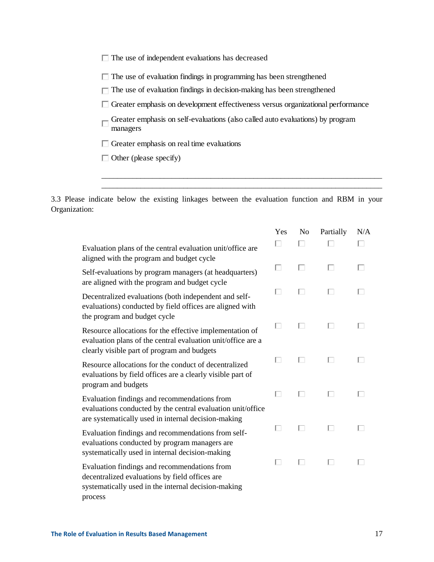|  |  |  |  | $\Box$ The use of independent evaluations has decreased |  |  |  |
|--|--|--|--|---------------------------------------------------------|--|--|--|
|--|--|--|--|---------------------------------------------------------|--|--|--|

- $\Box$  Greater emphasis on self-evaluations (also called auto evaluations) by program managers
- $\Box$  Greater emphasis on real time evaluations  $\Box$  Other (please specify)
- 

| $\Box$ The use of evaluation findings in programming has been strengthened<br>The use of evaluation findings in decision-making has been strengthened<br>$\Box$ Greater emphasis on development effectiveness versus organizational performance<br>Greater emphasis on self-evaluations (also called auto evaluations) by program<br>managers<br>$\Box$ Greater emphasis on real time evaluations<br>$\Box$ Other (please specify) |     |                |           |     |
|------------------------------------------------------------------------------------------------------------------------------------------------------------------------------------------------------------------------------------------------------------------------------------------------------------------------------------------------------------------------------------------------------------------------------------|-----|----------------|-----------|-----|
| 3.3 Please indicate below the existing linkages between the evaluation function and RBM in your<br>Organization:                                                                                                                                                                                                                                                                                                                   |     |                |           |     |
|                                                                                                                                                                                                                                                                                                                                                                                                                                    | Yes | N <sub>o</sub> | Partially | N/A |
| Evaluation plans of the central evaluation unit/office are<br>aligned with the program and budget cycle                                                                                                                                                                                                                                                                                                                            | П   | □              |           | П   |
| Self-evaluations by program managers (at headquarters)<br>are aligned with the program and budget cycle                                                                                                                                                                                                                                                                                                                            | ш   | ш              | ш         | L   |
| Decentralized evaluations (both independent and self-<br>evaluations) conducted by field offices are aligned with<br>the program and budget cycle                                                                                                                                                                                                                                                                                  | ш   | ш              | ш         | ш   |
| Resource allocations for the effective implementation of<br>evaluation plans of the central evaluation unit/office are a<br>clearly visible part of program and budgets                                                                                                                                                                                                                                                            | ш   | п              | ш         | ш   |
| Resource allocations for the conduct of decentralized<br>evaluations by field offices are a clearly visible part of<br>program and budgets                                                                                                                                                                                                                                                                                         | ш   |                |           | ш   |
| Evaluation findings and recommendations from<br>evaluations conducted by the central evaluation unit/office<br>are systematically used in internal decision-making                                                                                                                                                                                                                                                                 | ш   | Ш              | U         | U   |
| Evaluation findings and recommendations from self-<br>evaluations conducted by program managers are<br>systematically used in internal decision-making                                                                                                                                                                                                                                                                             | ш   | Ш              | ш         | ш   |
|                                                                                                                                                                                                                                                                                                                                                                                                                                    | ш   | Ш              | ш         | ш   |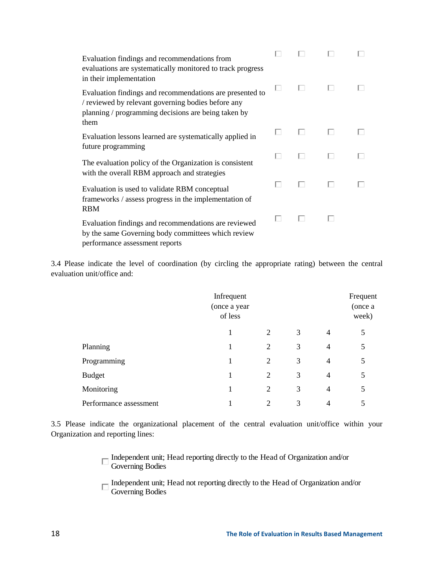| Evaluation findings and recommendations from<br>evaluations are systematically monitored to track progress<br>in their implementation                                         |   |   |     |  |
|-------------------------------------------------------------------------------------------------------------------------------------------------------------------------------|---|---|-----|--|
| Evaluation findings and recommendations are presented to<br>/ reviewed by relevant governing bodies before any<br>planning / programming decisions are being taken by<br>them | ш |   |     |  |
| Evaluation lessons learned are systematically applied in<br>future programming                                                                                                | U | ш |     |  |
| The evaluation policy of the Organization is consistent<br>with the overall RBM approach and strategies                                                                       | ш | U | U   |  |
| Evaluation is used to validate RBM conceptual<br>frameworks / assess progress in the implementation of<br><b>RBM</b>                                                          | U | ш | . . |  |
| Evaluation findings and recommendations are reviewed<br>by the same Governing body committees which review<br>performance assessment reports                                  | U | ш |     |  |

3.4 Please indicate the level of coordination (by circling the appropriate rating) between the central evaluation unit/office and:

|                        | Infrequent<br>(once a year<br>of less |                |   |                |   |  |  |  | Frequent<br>(once a<br>week) |
|------------------------|---------------------------------------|----------------|---|----------------|---|--|--|--|------------------------------|
|                        |                                       | 2              | 3 | $\overline{4}$ | 5 |  |  |  |                              |
| Planning               |                                       | $\overline{2}$ | 3 | 4              | 5 |  |  |  |                              |
| Programming            |                                       | 2              | 3 | 4              | 5 |  |  |  |                              |
| <b>Budget</b>          | 1                                     | 2              | 3 | 4              | 5 |  |  |  |                              |
| Monitoring             |                                       | $\overline{2}$ | 3 | 4              | 5 |  |  |  |                              |
| Performance assessment |                                       | 2              | 3 | 4              | 5 |  |  |  |                              |

3.5 Please indicate the organizational placement of the central evaluation unit/office within your Organization and reporting lines:

> Independent unit; Head reporting directly to the Head of Organization and/or Governing Bodies

Independent unit; Head not reporting directly to the Head of Organization and/or Governing Bodies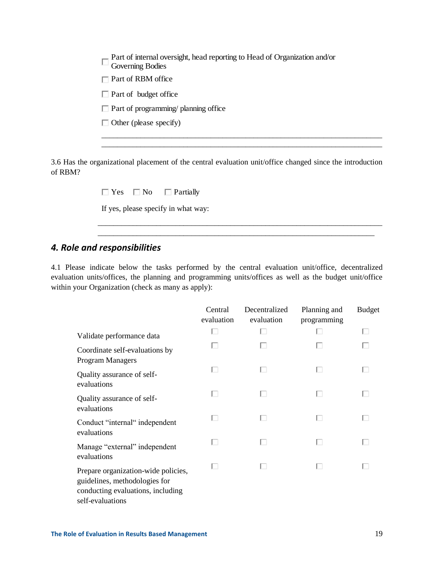| $\Box$ Part of RBM office<br>$\Box$ Part of budget office |  |
|-----------------------------------------------------------|--|
|                                                           |  |
| $\Box$ Part of programming/ planning office               |  |
|                                                           |  |
| $\Box$ Other (please specify)                             |  |

| $\Box$ Yes $\Box$ No | $\Box$ Partially                    |  |
|----------------------|-------------------------------------|--|
|                      | If yes, please specify in what way: |  |

# *4. Role and responsibilities*

|                                                                                                                                                                                                                                              |                       |                             | Part of internal oversight, head reporting to Head of Organization and/or |               |
|----------------------------------------------------------------------------------------------------------------------------------------------------------------------------------------------------------------------------------------------|-----------------------|-----------------------------|---------------------------------------------------------------------------|---------------|
| $\Box$ Part of RBM office                                                                                                                                                                                                                    |                       |                             |                                                                           |               |
| $\Box$ Part of budget office                                                                                                                                                                                                                 |                       |                             |                                                                           |               |
| $\Box$ Part of programming/ planning office                                                                                                                                                                                                  |                       |                             |                                                                           |               |
| $\Box$ Other (please specify)                                                                                                                                                                                                                |                       |                             |                                                                           |               |
|                                                                                                                                                                                                                                              |                       |                             |                                                                           |               |
| 3.6 Has the organizational placement of the central evaluation unit/office changed since the introduction<br>of RBM?                                                                                                                         |                       |                             |                                                                           |               |
| $\Box$ Yes<br>$\Box$ No                                                                                                                                                                                                                      | $\Box$ Partially      |                             |                                                                           |               |
| If yes, please specify in what way:                                                                                                                                                                                                          |                       |                             |                                                                           |               |
| 4. Role and responsibilities<br>4.1 Please indicate below the tasks performed by the central evaluation unit/office, decentralized<br>evaluation units/offices, the planning and programming units/offices as well as the budget unit/office |                       |                             |                                                                           |               |
| within your Organization (check as many as apply):                                                                                                                                                                                           |                       |                             |                                                                           |               |
|                                                                                                                                                                                                                                              |                       |                             |                                                                           |               |
|                                                                                                                                                                                                                                              | Central<br>evaluation | Decentralized<br>evaluation | Planning and<br>programming                                               | <b>Budget</b> |
| Validate performance data                                                                                                                                                                                                                    | ш                     | ш                           | H                                                                         |               |
| Coordinate self-evaluations by                                                                                                                                                                                                               | п                     | $\Box$                      | ш                                                                         |               |
| Program Managers<br>Quality assurance of self-                                                                                                                                                                                               |                       |                             |                                                                           |               |
| evaluations<br>Quality assurance of self-                                                                                                                                                                                                    | п                     | п                           | ш                                                                         |               |
| evaluations<br>Conduct "internal" independent                                                                                                                                                                                                | ш                     | ш                           | U                                                                         |               |
| evaluations<br>Manage "external" independent<br>evaluations                                                                                                                                                                                  | U                     | ш                           |                                                                           |               |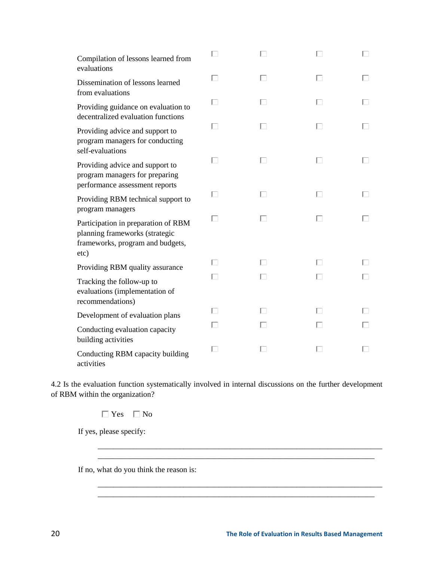| Compilation of lessons learned from<br>evaluations                                                                |   | П |   |  |
|-------------------------------------------------------------------------------------------------------------------|---|---|---|--|
| Dissemination of lessons learned<br>from evaluations                                                              | п | п | ш |  |
| Providing guidance on evaluation to<br>decentralized evaluation functions                                         | п | п | п |  |
| Providing advice and support to<br>program managers for conducting<br>self-evaluations                            | ш | ш | U |  |
| Providing advice and support to<br>program managers for preparing<br>performance assessment reports               | п | п | ш |  |
| Providing RBM technical support to<br>program managers                                                            | п | ш | ш |  |
| Participation in preparation of RBM<br>planning frameworks (strategic<br>frameworks, program and budgets,<br>etc) |   | п | г |  |
| Providing RBM quality assurance                                                                                   | ш | ш | U |  |
| Tracking the follow-up to<br>evaluations (implementation of<br>recommendations)                                   | H | ш | ш |  |
| Development of evaluation plans                                                                                   | U | H | ш |  |
| Conducting evaluation capacity<br>building activities                                                             |   | ш | ш |  |
| Conducting RBM capacity building<br>activities                                                                    | п | U | ш |  |

4.2 Is the evaluation function systematically involved in internal discussions on the further development of RBM within the organization?

> \_\_\_\_\_\_\_\_\_\_\_\_\_\_\_\_\_\_\_\_\_\_\_\_\_\_\_\_\_\_\_\_\_\_\_\_\_\_\_\_\_\_\_\_\_\_\_\_\_\_\_\_\_\_\_\_\_\_\_\_\_\_\_\_\_\_\_\_\_\_\_\_\_ \_\_\_\_\_\_\_\_\_\_\_\_\_\_\_\_\_\_\_\_\_\_\_\_\_\_\_\_\_\_\_\_\_\_\_\_\_\_\_\_\_\_\_\_\_\_\_\_\_\_\_\_\_\_\_\_\_\_\_\_\_\_\_\_\_\_\_\_\_\_\_

> \_\_\_\_\_\_\_\_\_\_\_\_\_\_\_\_\_\_\_\_\_\_\_\_\_\_\_\_\_\_\_\_\_\_\_\_\_\_\_\_\_\_\_\_\_\_\_\_\_\_\_\_\_\_\_\_\_\_\_\_\_\_\_\_\_\_\_\_\_\_\_\_\_ \_\_\_\_\_\_\_\_\_\_\_\_\_\_\_\_\_\_\_\_\_\_\_\_\_\_\_\_\_\_\_\_\_\_\_\_\_\_\_\_\_\_\_\_\_\_\_\_\_\_\_\_\_\_\_\_\_\_\_\_\_\_\_\_\_\_\_\_\_\_\_

 $\Box$  Yes  $\Box$  No

If yes, please specify:

If no, what do you think the reason is: